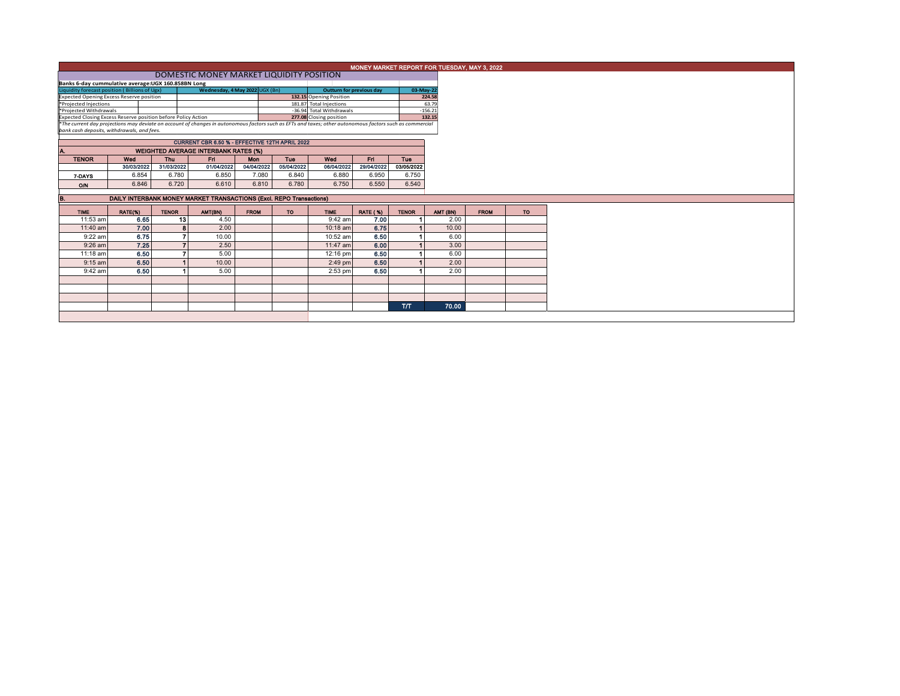| MONEY MARKET REPORT FOR TUESDAY, MAY 3, 2022                                                                                                             |                                          |              |                                             |                         |                         |                                 |                 |                                                                     |                     |             |           |  |  |  |  |  |  |  |
|----------------------------------------------------------------------------------------------------------------------------------------------------------|------------------------------------------|--------------|---------------------------------------------|-------------------------|-------------------------|---------------------------------|-----------------|---------------------------------------------------------------------|---------------------|-------------|-----------|--|--|--|--|--|--|--|
|                                                                                                                                                          | DOMESTIC MONEY MARKET LIQUIDITY POSITION |              |                                             |                         |                         |                                 |                 |                                                                     |                     |             |           |  |  |  |  |  |  |  |
| Banks 6-day cummulative average: UGX 160.858BN Long                                                                                                      |                                          |              |                                             |                         |                         |                                 |                 |                                                                     |                     |             |           |  |  |  |  |  |  |  |
| Liquidity forecast position (Billions of Ugx)<br>Wednesday, 4 May 2022 UGX (Bn)                                                                          |                                          |              |                                             |                         |                         | <b>Outturn for previous day</b> |                 | 03-May-22                                                           |                     |             |           |  |  |  |  |  |  |  |
| <b>Expected Opening Excess Reserve position</b>                                                                                                          |                                          |              |                                             | 132.15 Opening Position |                         |                                 | 224.58          |                                                                     |                     |             |           |  |  |  |  |  |  |  |
| *Projected Injections                                                                                                                                    |                                          |              |                                             |                         | 181.87 Total Injections |                                 |                 | 63.79                                                               |                     |             |           |  |  |  |  |  |  |  |
| *Projected Withdrawals<br>Expected Closing Excess Reserve position before Policy Action                                                                  |                                          |              |                                             |                         |                         | -36.94 Total Withdrawals        |                 |                                                                     | $-156.21$<br>132.15 |             |           |  |  |  |  |  |  |  |
| *The current day projections may deviate on account of changes in autonomous factors such as EFTs and taxes; other autonomous factors such as commercial |                                          |              |                                             |                         |                         | 277.08 Closing position         |                 |                                                                     |                     |             |           |  |  |  |  |  |  |  |
| bank cash deposits, withdrawals, and fees.                                                                                                               |                                          |              |                                             |                         |                         |                                 |                 |                                                                     |                     |             |           |  |  |  |  |  |  |  |
|                                                                                                                                                          |                                          |              |                                             |                         |                         |                                 |                 |                                                                     |                     |             |           |  |  |  |  |  |  |  |
|                                                                                                                                                          |                                          |              |                                             |                         |                         |                                 |                 |                                                                     |                     |             |           |  |  |  |  |  |  |  |
|                                                                                                                                                          |                                          |              | <b>WEIGHTED AVERAGE INTERBANK RATES (%)</b> |                         |                         |                                 |                 |                                                                     |                     |             |           |  |  |  |  |  |  |  |
| <b>TENOR</b>                                                                                                                                             | Wed                                      | Thu          | Fri                                         | <b>Mon</b>              | Tue                     | Wed                             | Fri.            | Tue                                                                 |                     |             |           |  |  |  |  |  |  |  |
|                                                                                                                                                          | 30/03/2022                               | 31/03/2022   | 01/04/2022                                  | 04/04/2022              | 05/04/2022              | 06/04/2022                      | 29/04/2022      | 03/05/2022                                                          |                     |             |           |  |  |  |  |  |  |  |
| 7-DAYS                                                                                                                                                   | 6.854                                    | 6.780        | 6.850                                       | 7.080                   | 6.840                   | 6.880                           | 6.950           | 6.750                                                               |                     |             |           |  |  |  |  |  |  |  |
| O/N                                                                                                                                                      | 6.846                                    | 6.720        | 6.610                                       | 6.810                   | 6.780                   | 6.750                           | 6.550           | 6.540                                                               |                     |             |           |  |  |  |  |  |  |  |
|                                                                                                                                                          |                                          |              |                                             |                         |                         |                                 |                 |                                                                     |                     |             |           |  |  |  |  |  |  |  |
| В.                                                                                                                                                       |                                          |              |                                             |                         |                         |                                 |                 | DAILY INTERBANK MONEY MARKET TRANSACTIONS (Excl. REPO Transactions) |                     |             |           |  |  |  |  |  |  |  |
| <b>TIME</b>                                                                                                                                              | RATE(%)                                  |              |                                             |                         |                         |                                 |                 |                                                                     |                     |             |           |  |  |  |  |  |  |  |
|                                                                                                                                                          |                                          | <b>TENOR</b> | <b>AMT(BN)</b>                              | <b>FROM</b>             | <b>TO</b>               | <b>TIME</b>                     | <b>RATE (%)</b> | <b>TENOR</b>                                                        | AMT (BN)            | <b>FROM</b> | <b>TO</b> |  |  |  |  |  |  |  |
| 11:53 am                                                                                                                                                 | 6.65                                     | 13           | 4.50                                        |                         |                         | $9:42$ am                       | 7.00            |                                                                     | 2.00                |             |           |  |  |  |  |  |  |  |
| 11:40 am                                                                                                                                                 | 7.00                                     | 8            | 2.00                                        |                         |                         | 10:18 am                        | 6.75            |                                                                     | 10.00               |             |           |  |  |  |  |  |  |  |
| 9:22 am                                                                                                                                                  | 6.75                                     |              | 10.00                                       |                         |                         | 10:52 am                        | 6.50            |                                                                     | 6.00                |             |           |  |  |  |  |  |  |  |
| $9:26$ am                                                                                                                                                | 7.25                                     |              | 2.50                                        |                         |                         | 11:47 am                        | 6.00            |                                                                     | 3.00                |             |           |  |  |  |  |  |  |  |
| 11:18 am                                                                                                                                                 | 6.50                                     |              | 5.00                                        |                         |                         | 12:16 pm                        | 6.50            |                                                                     | 6.00                |             |           |  |  |  |  |  |  |  |
| $9:15$ am                                                                                                                                                | 6.50                                     |              | 10.00                                       |                         |                         | $2:49$ pm                       | 6.50            |                                                                     | 2.00                |             |           |  |  |  |  |  |  |  |
| $9:42$ am                                                                                                                                                | 6.50                                     |              | 5.00                                        |                         |                         | $2:53$ pm                       | 6.50            |                                                                     | 2.00                |             |           |  |  |  |  |  |  |  |
|                                                                                                                                                          |                                          |              |                                             |                         |                         |                                 |                 |                                                                     |                     |             |           |  |  |  |  |  |  |  |
|                                                                                                                                                          |                                          |              |                                             |                         |                         |                                 |                 |                                                                     |                     |             |           |  |  |  |  |  |  |  |
|                                                                                                                                                          |                                          |              |                                             |                         |                         |                                 |                 |                                                                     |                     |             |           |  |  |  |  |  |  |  |
|                                                                                                                                                          |                                          |              |                                             |                         |                         |                                 |                 | <b>T/T</b>                                                          | 70.00               |             |           |  |  |  |  |  |  |  |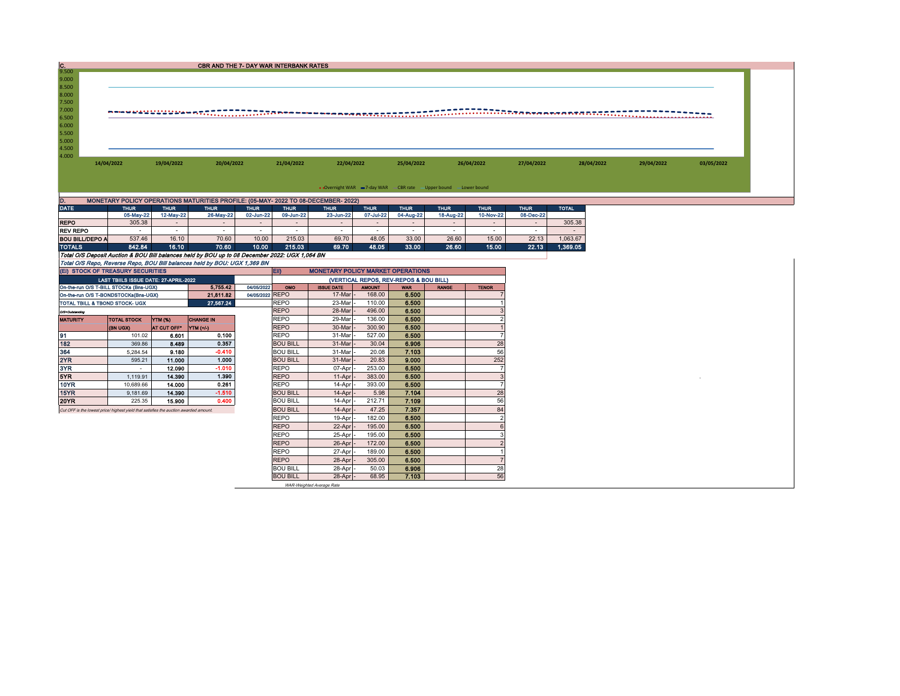| lc.                                                                                   |                                       |             |                                                                                                |                 | <b>CBR AND THE 7- DAY WAR INTERBANK RATES</b> |                                          |               |                                                                  |              |                                  |             |              |            |            |
|---------------------------------------------------------------------------------------|---------------------------------------|-------------|------------------------------------------------------------------------------------------------|-----------------|-----------------------------------------------|------------------------------------------|---------------|------------------------------------------------------------------|--------------|----------------------------------|-------------|--------------|------------|------------|
| 9.500                                                                                 |                                       |             |                                                                                                |                 |                                               |                                          |               |                                                                  |              |                                  |             |              |            |            |
| 9.000                                                                                 |                                       |             |                                                                                                |                 |                                               |                                          |               |                                                                  |              |                                  |             |              |            |            |
| 8.500<br>8.000                                                                        |                                       |             |                                                                                                |                 |                                               |                                          |               |                                                                  |              |                                  |             |              |            |            |
| 7.500                                                                                 |                                       |             |                                                                                                |                 |                                               |                                          |               |                                                                  |              |                                  |             |              |            |            |
| 7.000                                                                                 |                                       |             |                                                                                                |                 |                                               |                                          |               |                                                                  |              |                                  |             |              |            |            |
| 6.500                                                                                 |                                       |             |                                                                                                |                 |                                               |                                          |               |                                                                  |              |                                  |             |              |            |            |
| 6.000                                                                                 |                                       |             |                                                                                                |                 |                                               |                                          |               |                                                                  |              |                                  |             |              |            |            |
| 5.500                                                                                 |                                       |             |                                                                                                |                 |                                               |                                          |               |                                                                  |              |                                  |             |              |            |            |
| 5.000                                                                                 |                                       |             |                                                                                                |                 |                                               |                                          |               |                                                                  |              |                                  |             |              |            |            |
| 4.500                                                                                 |                                       |             |                                                                                                |                 |                                               |                                          |               |                                                                  |              |                                  |             |              |            |            |
| 4.000                                                                                 |                                       |             |                                                                                                |                 |                                               |                                          |               |                                                                  |              |                                  |             |              |            |            |
|                                                                                       | 14/04/2022                            | 19/04/2022  | 20/04/2022                                                                                     |                 | 21/04/2022                                    | 22/04/2022                               |               | 25/04/2022                                                       |              | 26/04/2022                       | 27/04/2022  | 28/04/2022   | 29/04/2022 | 03/05/2022 |
|                                                                                       |                                       |             |                                                                                                |                 |                                               |                                          |               |                                                                  |              |                                  |             |              |            |            |
|                                                                                       |                                       |             |                                                                                                |                 |                                               |                                          |               |                                                                  |              |                                  |             |              |            |            |
|                                                                                       |                                       |             |                                                                                                |                 |                                               |                                          |               | • Overnight WAR -7-day WAR - CBR rate - Upper bound -Lower bound |              |                                  |             |              |            |            |
| ID.                                                                                   |                                       |             | MONETARY POLICY OPERATIONS MATURITIES PROFILE: (05-MAY- 2022 TO 08-DECEMBER- 2022)             |                 |                                               |                                          |               |                                                                  |              |                                  |             |              |            |            |
| <b>DATE</b>                                                                           | <b>THUR</b>                           | <b>THUR</b> | <b>THUR</b>                                                                                    | <b>THUR</b>     | <b>THUR</b>                                   | <b>THUR</b>                              | <b>THUR</b>   | <b>THUR</b>                                                      | <b>THUR</b>  | <b>THUR</b>                      | <b>THUR</b> | <b>TOTAL</b> |            |            |
|                                                                                       | 05-May-22                             | 12-May-22   | 26-May-22                                                                                      | 02-Jun-22       | 09-Jun-22                                     | 23-Jun-22                                | 07-Jul-22     | 04-Aug-22                                                        | 18-Aug-22    | 10-Nov-22                        | 08-Dec-22   |              |            |            |
| <b>REPO</b>                                                                           | 305.38                                | $\sim$      | $\sim$                                                                                         | $\sim$          | $\sim$                                        | $\sim$                                   | $\sim$        | $\sim$                                                           | $\sim$       | $\sim$                           | $\sim$      | 305.38       |            |            |
| <b>REV REPO</b>                                                                       | $\sim$                                | $\sim$      | $\sim$                                                                                         | $\sim$          | $\sim$                                        | $\sim$                                   | $\sim$        | $\sim$                                                           | $\sim$       | $\sim$                           | $\sim$      | $\sim$       |            |            |
| <b>BOU BILL/DEPO A</b>                                                                | 537.46                                | 16.10       | 70.60                                                                                          | 10.00           | 215.03                                        | 69.70                                    | 48.05         | 33.00                                                            | 26.60        | 15.00                            | 22.13       | 1,063.67     |            |            |
| <b>TOTALS</b>                                                                         | 842.84                                | 16.10       | 70.60                                                                                          | 10.00           | 215.03                                        | 69.70                                    | 48.05         | 33.00                                                            | 26.60        | 15.00                            | 22.13       | 1,369.05     |            |            |
|                                                                                       |                                       |             | Total O/S Deposit Auction & BOU Bill balances held by BOU up to 08 December 2022: UGX 1,064 BN |                 |                                               |                                          |               |                                                                  |              |                                  |             |              |            |            |
|                                                                                       |                                       |             | Total O/S Repo, Reverse Repo, BOU Bill balances held by BOU: UGX 1,369 BN                      |                 |                                               |                                          |               |                                                                  |              |                                  |             |              |            |            |
| (EI) STOCK OF TREASURY SECURITIES                                                     |                                       |             |                                                                                                |                 | EII)                                          | <b>MONETARY POLICY MARKET OPERATIONS</b> |               |                                                                  |              |                                  |             |              |            |            |
|                                                                                       | LAST TBIILS ISSUE DATE: 27-APRIL-2022 |             |                                                                                                |                 |                                               |                                          |               | (VERTICAL REPOS, REV-REPOS & BOU BILL)                           |              |                                  |             |              |            |            |
| On-the-run O/S T-BILL STOCKs (Bns-UGX)                                                |                                       |             | 5,755.42                                                                                       | 04/05/2022      | OMO                                           | <b>ISSUE DATE</b>                        | <b>AMOUNT</b> | <b>WAR</b>                                                       | <b>RANGE</b> | <b>TENOR</b>                     |             |              |            |            |
| On-the-run O/S T-BONDSTOCKs(Bns-UGX)                                                  |                                       |             | 21,811.82                                                                                      | 04/05/2022 REPO |                                               | 17-Mar                                   | 168.00        | 6.500                                                            |              |                                  |             |              |            |            |
| TOTAL TBILL & TBOND STOCK- UGX                                                        |                                       |             | 27.567.24                                                                                      |                 | <b>REPO</b>                                   | 23-Mar                                   | 110.00        | 6.500                                                            |              |                                  |             |              |            |            |
| O/S-Outstanding                                                                       |                                       |             |                                                                                                |                 | <b>REPO</b>                                   | 28-Mar                                   | 496.00        | 6.500                                                            |              | 3                                |             |              |            |            |
| <b>MATURITY</b>                                                                       | <b>TOTAL STOCK</b>                    | YTM (%)     | <b>CHANGE IN</b>                                                                               |                 | <b>REPO</b>                                   | 29-Mar                                   | 136.00        | 6.500                                                            |              | $\mathcal{P}$                    |             |              |            |            |
|                                                                                       | (BN UGX)                              | AT CUT OFF* | YTM (+/-)                                                                                      |                 | <b>REPO</b>                                   | 30-Mar                                   | 300.90        | 6.500                                                            |              | $\overline{7}$                   |             |              |            |            |
| 191                                                                                   | 101.02                                | 6.601       | 0.100                                                                                          |                 | <b>REPO</b>                                   | 31-Mar                                   | 527.00        | 6.500                                                            |              |                                  |             |              |            |            |
| 182                                                                                   | 369.86                                | 8.489       | 0.357                                                                                          |                 | <b>BOU BILL</b>                               | 31-Mar                                   | 30.04         | 6.906                                                            |              | 28                               |             |              |            |            |
| 364                                                                                   | 5,284.54                              | 9.180       | $-0.410$                                                                                       |                 | <b>BOU BILL</b>                               | 31-Mar                                   | 20.08         | 7.103                                                            |              | 56<br>252                        |             |              |            |            |
| 2YR<br>3YR                                                                            | 595.21                                | 11.000      | 1.000<br>$-1.010$                                                                              |                 | <b>BOU BILL</b>                               | 31-Mar                                   | 20.83         | 9.000                                                            |              | $\overline{7}$                   |             |              |            |            |
| 5YR                                                                                   | $\sim$                                | 12.090      |                                                                                                |                 | <b>REPO</b>                                   | 07-Apr                                   | 253.00        | 6.500                                                            |              |                                  |             |              |            |            |
| <b>10YR</b>                                                                           | 1.119.91                              | 14,390      | 1.390<br>0.261                                                                                 |                 | <b>REPO</b>                                   | 11-Apr                                   | 383.00        | 6.500                                                            |              | $\overline{3}$<br>$\overline{7}$ |             |              |            |            |
| 15YR                                                                                  | 10,689.66                             | 14.000      | $-1.510$                                                                                       |                 | <b>REPO</b>                                   | 14-Apr                                   | 393.00        | 6.500                                                            |              |                                  |             |              |            |            |
| 20YR                                                                                  | 9,181.69                              | 14.390      |                                                                                                |                 | <b>BOU BILL</b>                               | 14-Apr                                   | 5.98          | 7.104                                                            |              | 28                               |             |              |            |            |
|                                                                                       | 225.35                                | 15,900      | 0.400                                                                                          |                 | <b>BOU BILL</b>                               | 14-Apr                                   | 212.71        | 7.109                                                            |              | 56                               |             |              |            |            |
| Cut OFF is the lowest price/ highest yield that satisfies the auction awarded amount. |                                       |             |                                                                                                |                 | <b>BOU BILL</b>                               | 14-Apr                                   | 47.25         | 7.357                                                            |              | 84                               |             |              |            |            |
|                                                                                       |                                       |             |                                                                                                |                 | <b>REPO</b>                                   | 19-Apr                                   | 182.00        | 6.500                                                            |              | $\overline{2}$                   |             |              |            |            |
|                                                                                       |                                       |             |                                                                                                |                 | <b>REPO</b>                                   | 22-Apr                                   | 195.00        | 6.500                                                            |              | 6                                |             |              |            |            |
|                                                                                       |                                       |             |                                                                                                |                 | <b>REPO</b>                                   | 25-Apr                                   | 195.00        | 6.500                                                            |              | 3                                |             |              |            |            |
|                                                                                       |                                       |             |                                                                                                |                 | <b>REPO</b>                                   | 26-Apr                                   | 172.00        | 6.500                                                            |              | $\overline{2}$                   |             |              |            |            |
|                                                                                       |                                       |             |                                                                                                |                 | <b>REPO</b>                                   | 27-Apr                                   | 189.00        | 6.500                                                            |              |                                  |             |              |            |            |
|                                                                                       |                                       |             |                                                                                                |                 | <b>REPO</b>                                   | 28-Apr                                   | 305.00        | 6.500                                                            |              | $\overline{7}$                   |             |              |            |            |
|                                                                                       |                                       |             |                                                                                                |                 | <b>ROLLBILL</b>                               | $28 - \Delta n r$                        | 50.03         | a one                                                            |              | 28                               |             |              |            |            |

BOU BILL 28-Apr - 50.03 6.906 28 BOU BILL 28-Apr - 68.95 7.103 56 WAR-Weighted Average Rate